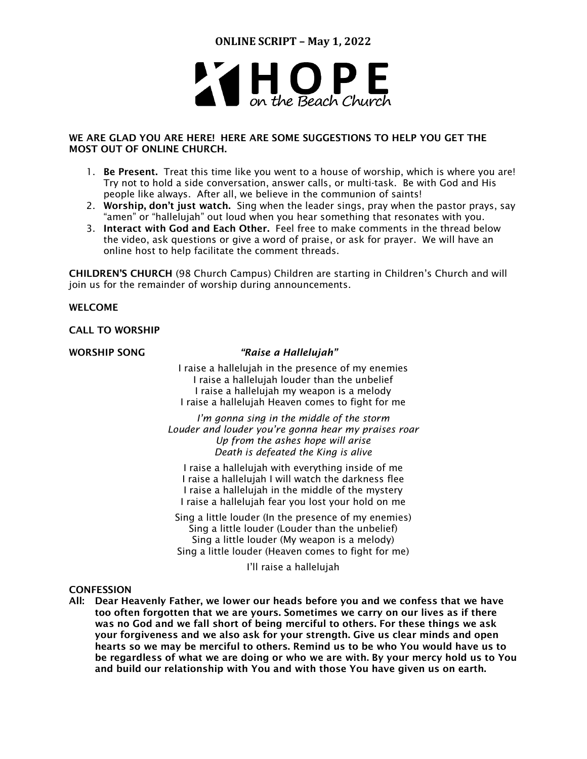**ONLINE SCRIPT – May 1, 2022**



# WE ARE GLAD YOU ARE HERE! HERE ARE SOME SUGGESTIONS TO HELP YOU GET THE MOST OUT OF ONLINE CHURCH.

- 1. Be Present. Treat this time like you went to a house of worship, which is where you are! Try not to hold a side conversation, answer calls, or multi-task. Be with God and His people like always. After all, we believe in the communion of saints!
- 2. Worship, don't just watch. Sing when the leader sings, pray when the pastor prays, say "amen" or "hallelujah" out loud when you hear something that resonates with you.
- 3. Interact with God and Each Other. Feel free to make comments in the thread below the video, ask questions or give a word of praise, or ask for prayer. We will have an online host to help facilitate the comment threads.

CHILDREN'S CHURCH (98 Church Campus) Children are starting in Children's Church and will join us for the remainder of worship during announcements.

## WELCOME

CALL TO WORSHIP

# WORSHIP SONG *"Raise a Hallelujah"*

I raise a hallelujah in the presence of my enemies I raise a hallelujah louder than the unbelief I raise a hallelujah my weapon is a melody I raise a hallelujah Heaven comes to fight for me

*I'm gonna sing in the middle of the storm Louder and louder you're gonna hear my praises roar Up from the ashes hope will arise Death is defeated the King is alive*

I raise a hallelujah with everything inside of me I raise a hallelujah I will watch the darkness flee I raise a hallelujah in the middle of the mystery I raise a hallelujah fear you lost your hold on me

Sing a little louder (In the presence of my enemies) Sing a little louder (Louder than the unbelief) Sing a little louder (My weapon is a melody) Sing a little louder (Heaven comes to fight for me)

I'll raise a hallelujah

#### **CONFESSION**

All: Dear Heavenly Father, we lower our heads before you and we confess that we have too often forgotten that we are yours. Sometimes we carry on our lives as if there was no God and we fall short of being merciful to others. For these things we ask your forgiveness and we also ask for your strength. Give us clear minds and open hearts so we may be merciful to others. Remind us to be who You would have us to be regardless of what we are doing or who we are with. By your mercy hold us to You and build our relationship with You and with those You have given us on earth.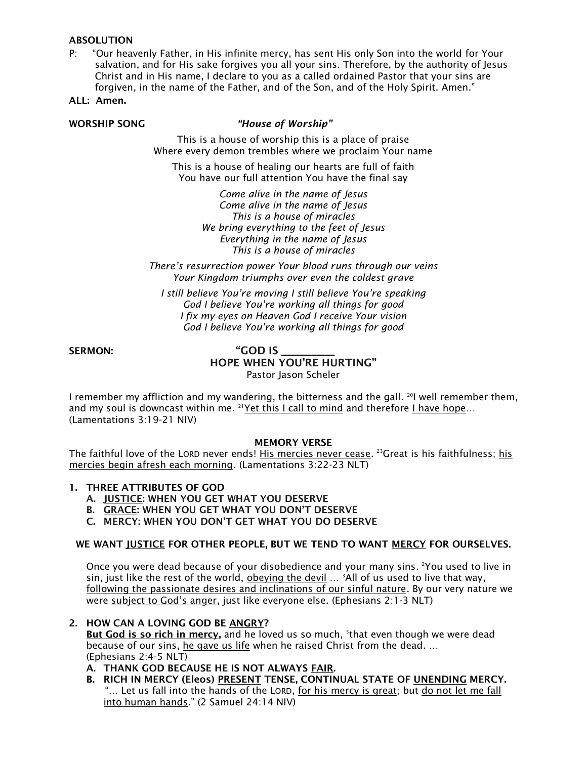#### ABSOLUTION

P: "Our heavenly Father, in His infinite mercy, has sent His only Son into the world for Your salvation, and for His sake forgives you all your sins. Therefore, by the authority of Jesus Christ and in His name, I declare to you as a called ordained Pastor that your sins are forgiven, in the name of the Father, and of the Son, and of the Holy Spirit. Amen."

ALL: Amen.

# WORSHIP SONG *"House of Worship"*

This is a house of worship this is a place of praise Where every demon trembles where we proclaim Your name

This is a house of healing our hearts are full of faith You have our full attention You have the final say

> *Come alive in the name of Jesus Come alive in the name of Jesus This is a house of miracles We bring everything to the feet of Jesus Everything in the name of Jesus This is a house of miracles*

*There's resurrection power Your blood runs through our veins Your Kingdom triumphs over even the coldest grave*

*I still believe You're moving I still believe You're speaking God I believe You're working all things for good I fix my eyes on Heaven God I receive Your vision God I believe You're working all things for good*

# SERMON: "GOD IS HOPE WHEN YOU'RE HURTING" Pastor Jason Scheler

I remember my affliction and my wandering, the bitterness and the gall.  $^{20}$  well remember them, and my soul is downcast within me. <sup>21</sup>Yet this I call to mind and therefore I have hope... (Lamentations 3:19-21 NIV)

# MEMORY VERSE

The faithful love of the LORD never ends! <u>His mercies never cease</u>. <sup>23</sup>Great is his faithfulness; <u>his</u> mercies begin afresh each morning. (Lamentations 3:22-23 NLT)

# 1. THREE ATTRIBUTES OF GOD

- A. JUSTICE: WHEN YOU GET WHAT YOU DESERVE
- B. GRACE: WHEN YOU GET WHAT YOU DON'T DESERVE
- C. MERCY: WHEN YOU DON'T GET WHAT YOU DO DESERVE

#### WE WANT JUSTICE FOR OTHER PEOPLE, BUT WE TEND TO WANT MERCY FOR OURSELVES.

Once you were <u>dead because of your disobedience and your many sins</u>. <sup>2</sup>You used to live in sin, just like the rest of the world, obeying the devil  $\ldots$  <sup>3</sup>All of us used to live that way, following the passionate desires and inclinations of our sinful nature. By our very nature we were subject to God's anger, just like everyone else. (Ephesians 2:1-3 NLT)

#### 2. HOW CAN A LOVING GOD BE ANGRY?

But God is so rich in mercy, and he loved us so much, <sup>s</sup>that even though we were dead because of our sins, he gave us life when he raised Christ from the dead. … (Ephesians 2:4-5 NLT)

- A. THANK GOD BECAUSE HE IS NOT ALWAYS FAIR.
- B. RICH IN MERCY (Eleos) PRESENT TENSE, CONTINUAL STATE OF UNENDING MERCY. "… Let us fall into the hands of the LORD, for his mercy is great; but do not let me fall into human hands." (2 Samuel 24:14 NIV)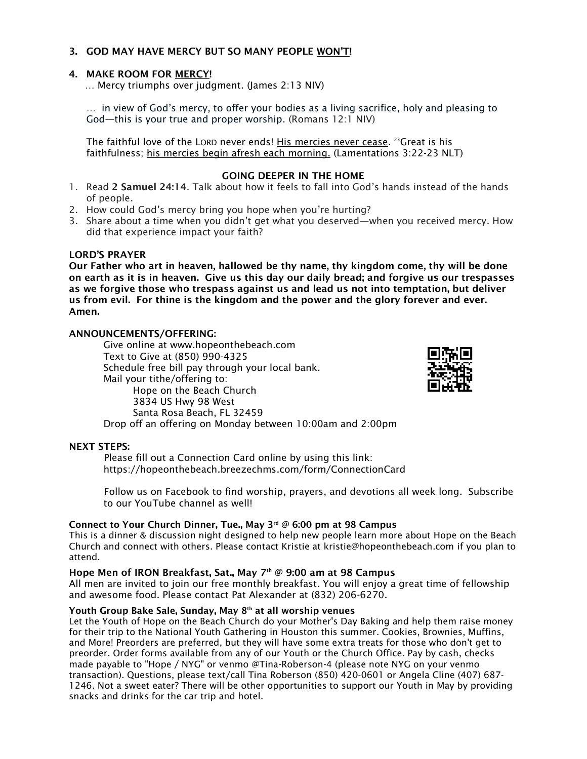# 3. GOD MAY HAVE MERCY BUT SO MANY PEOPLE WON'T!

# 4. MAKE ROOM FOR MERCY!

… Mercy triumphs over judgment. (James 2:13 NIV)

… in view of God's mercy, to offer your bodies as a living sacrifice, holy and pleasing to God—this is your true and proper worship. (Romans 12:1 NIV)

The faithful love of the LORD never ends! <u>His mercies never cease</u>. <sup>23</sup>Great is his faithfulness; his mercies begin afresh each morning. (Lamentations 3:22-23 NLT)

#### GOING DEEPER IN THE HOME

- 1. Read 2 Samuel 24:14. Talk about how it feels to fall into God's hands instead of the hands of people.
- 2. How could God's mercy bring you hope when you're hurting?
- 3. Share about a time when you didn't get what you deserved—when you received mercy. How did that experience impact your faith?

# LORD'S PRAYER

Our Father who art in heaven, hallowed be thy name, thy kingdom come, thy will be done on earth as it is in heaven. Give us this day our daily bread; and forgive us our trespasses as we forgive those who trespass against us and lead us not into temptation, but deliver us from evil. For thine is the kingdom and the power and the glory forever and ever. Amen.

## ANNOUNCEMENTS/OFFERING:

Give online at [www.hopeonthebeach.com](http://www.hopeonthebeach.com/) Text to Give at (850) 990-4325 Schedule free bill pay through your local bank. Mail your tithe/offering to: Hope on the Beach Church 3834 US Hwy 98 West Santa Rosa Beach, FL 32459 Drop off an offering on Monday between 10:00am and 2:00pm



# NEXT STEPS:

Please fill out a Connection Card online by using this link: <https://hopeonthebeach.breezechms.com/form/ConnectionCard>

Follow us on Facebook to find worship, prayers, and devotions all week long. Subscribe to our YouTube channel as well!

#### Connect to Your Church Dinner, Tue., May  $3^{rd}$  @ 6:00 pm at 98 Campus

This is a dinner & discussion night designed to help new people learn more about Hope on the Beach Church and connect with others. Please contact Kristie at kristie@hopeonthebeach.com if you plan to attend.

#### Hope Men of IRON Breakfast, Sat., May 7<sup>th</sup> @ 9:00 am at 98 Campus

All men are invited to join our free monthly breakfast. You will enjoy a great time of fellowship and awesome food. Please contact Pat Alexander at (832) 206-6270.

#### Youth Group Bake Sale, Sunday, May 8 th at all worship venues

Let the Youth of Hope on the Beach Church do your Mother's Day Baking and help them raise money for their trip to the National Youth Gathering in Houston this summer. Cookies, Brownies, Muffins, and More! Preorders are preferred, but they will have some extra treats for those who don't get to preorder. Order forms available from any of our Youth or the Church Office. Pay by cash, checks made payable to "Hope / NYG" or venmo @Tina-Roberson-4 (please note NYG on your venmo transaction). Questions, please text/call Tina Roberson (850) 420-0601 or Angela Cline (407) 687- 1246. Not a sweet eater? There will be other opportunities to support our Youth in May by providing snacks and drinks for the car trip and hotel.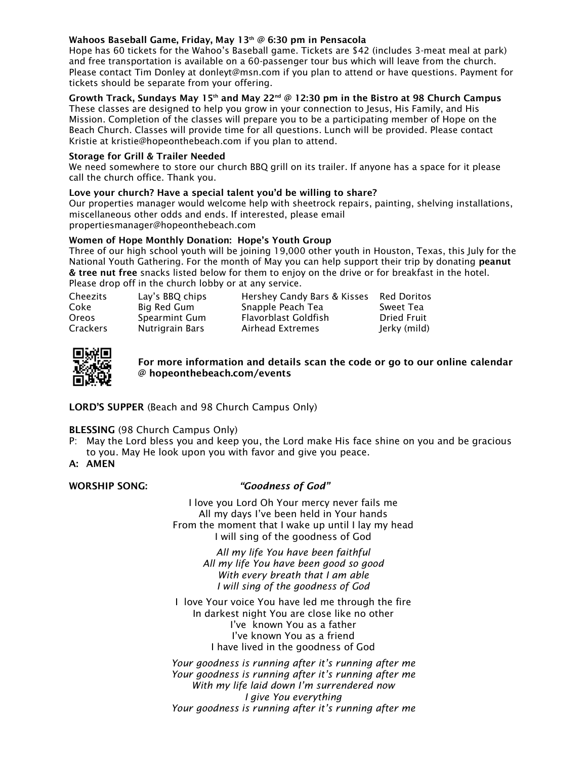## Wahoos Baseball Game, Friday, May 13 th @ 6:30 pm in Pensacola

Hope has 60 tickets for the Wahoo's Baseball game. Tickets are \$42 (includes 3-meat meal at park) and free transportation is available on a 60-passenger tour bus which will leave from the church. Please contact Tim Donley at [donleyt@msn.com](mailto:donleyt@msn.com) if you plan to attend or have questions. Payment for tickets should be separate from your offering.

# Growth Track, Sundays May 15<sup>th</sup> and May 22<sup>nd</sup> @ 12:30 pm in the Bistro at 98 Church Campus

These classes are designed to help you grow in your connection to Jesus, His Family, and His Mission. Completion of the classes will prepare you to be a participating member of Hope on the Beach Church. Classes will provide time for all questions. Lunch will be provided. Please contact Kristie at kristie@hopeonthebeach.com if you plan to attend.

#### Storage for Grill & Trailer Needed

We need somewhere to store our church BBQ grill on its trailer. If anyone has a space for it please call the church office. Thank you.

#### Love your church? Have a special talent you'd be willing to share?

Our properties manager would welcome help with sheetrock repairs, painting, shelving installations, miscellaneous other odds and ends. If interested, please email propertiesmanager@hopeonthebeach.com

## Women of Hope Monthly Donation: Hope's Youth Group

Three of our high school youth will be joining 19,000 other youth in Houston, Texas, this July for the National Youth Gathering. For the month of May you can help support their trip by donating peanut & tree nut free snacks listed below for them to enjoy on the drive or for breakfast in the hotel. Please drop off in the church lobby or at any service.

| <b>Cheezits</b> | Lay's BBQ chips | Hershey Candy Bars & Kisses | Red Doritos  |
|-----------------|-----------------|-----------------------------|--------------|
| Coke            | Big Red Gum     | Snapple Peach Tea           | Sweet Tea    |
| <b>Oreos</b>    | Spearmint Gum   | Flavorblast Goldfish        | Dried Fruit  |
| <b>Crackers</b> | Nutrigrain Bars | Airhead Extremes            | Jerky (mild) |



For more information and details scan the code or go to our online calendar @ hopeonthebeach.com/events

LORD'S SUPPER (Beach and 98 Church Campus Only)

#### BLESSING (98 Church Campus Only)

- P: May the Lord bless you and keep you, the Lord make His face shine on you and be gracious to you. May He look upon you with favor and give you peace.
- A: AMEN

# WORSHIP SONG: *"Goodness of God"*

I love you Lord Oh Your mercy never fails me All my days I've been held in Your hands From the moment that I wake up until I lay my head I will sing of the goodness of God

> *All my life You have been faithful All my life You have been good so good With every breath that I am able I will sing of the goodness of God*

I love Your voice You have led me through the fire In darkest night You are close like no other I've known You as a father I've known You as a friend I have lived in the goodness of God

*Your goodness is running after it's running after me Your goodness is running after it's running after me With my life laid down I'm surrendered now I give You everything Your goodness is running after it's running after me*